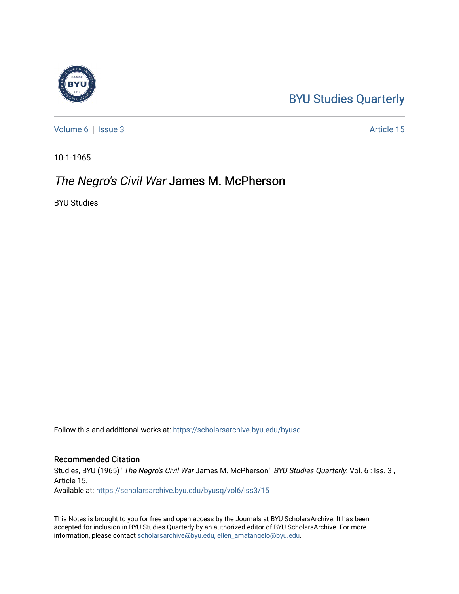## [BYU Studies Quarterly](https://scholarsarchive.byu.edu/byusq)

[Volume 6](https://scholarsarchive.byu.edu/byusq/vol6) | [Issue 3](https://scholarsarchive.byu.edu/byusq/vol6/iss3) Article 15

10-1-1965

## The Negro's Civil War James M. McPherson

BYU Studies

Follow this and additional works at: [https://scholarsarchive.byu.edu/byusq](https://scholarsarchive.byu.edu/byusq?utm_source=scholarsarchive.byu.edu%2Fbyusq%2Fvol6%2Fiss3%2F15&utm_medium=PDF&utm_campaign=PDFCoverPages) 

## Recommended Citation

Studies, BYU (1965) "The Negro's Civil War James M. McPherson," BYU Studies Quarterly: Vol. 6 : Iss. 3 , Article 15.

Available at: [https://scholarsarchive.byu.edu/byusq/vol6/iss3/15](https://scholarsarchive.byu.edu/byusq/vol6/iss3/15?utm_source=scholarsarchive.byu.edu%2Fbyusq%2Fvol6%2Fiss3%2F15&utm_medium=PDF&utm_campaign=PDFCoverPages)

This Notes is brought to you for free and open access by the Journals at BYU ScholarsArchive. It has been accepted for inclusion in BYU Studies Quarterly by an authorized editor of BYU ScholarsArchive. For more information, please contact [scholarsarchive@byu.edu, ellen\\_amatangelo@byu.edu.](mailto:scholarsarchive@byu.edu,%20ellen_amatangelo@byu.edu)